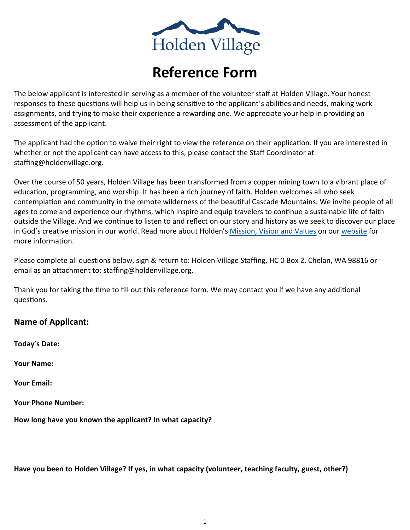

The below applicant is interested in serving as a member of the volunteer staff at Holden Village. Your honest responses to these questions will help us in being sensitive to the applicant's abilities and needs, making work assignments, and trying to make their experience a rewarding one. We appreciate your help in providing an assessment of the applicant.

The applicant had the option to waive their right to view the reference on their application. If you are interested in whether or not the applicant can have access to this, please contact the Staff Coordinator at staffing@holdenvillage.org.

Over the course of 50 years, Holden Village has been transformed from a copper mining town to a vibrant place of education, programming, and worship. It has been a rich journey of faith. Holden welcomes all who seek contemplation and community in the remote wilderness of the beautiful Cascade Mountains. We invite people of all ages to come and experience our rhythms, which inspire and equip travelers to continue a sustainable life of faith outside the Village. And we continue to listen to and reflect on our story and history as we seek to discover our place in God's creative mission in our world. Read more about Holden's [Mission, Vision and Values](http://www.holdenvillage.org/about-us/mission-core-values/) on our [website](http://www.holdenvillage.org/about-us/mission-core-values/) for more information.

Please complete all questions below, sign & return to: Holden Village Staffing, HC 0 Box 2, Chelan, WA 98816 or email as an attachment to: staffing@holdenvillage.org.

Thank you for taking the time to fill out this reference form. We may contact you if we have any additional questions.

#### **Name of Applicant:**

**Today's Date:**

**Your Name:**

**Your Email:**

**Your Phone Number:**

**How long have you known the applicant? In what capacity?**

**Have you been to Holden Village? If yes, in what capacity (volunteer, teaching faculty, guest, other?)**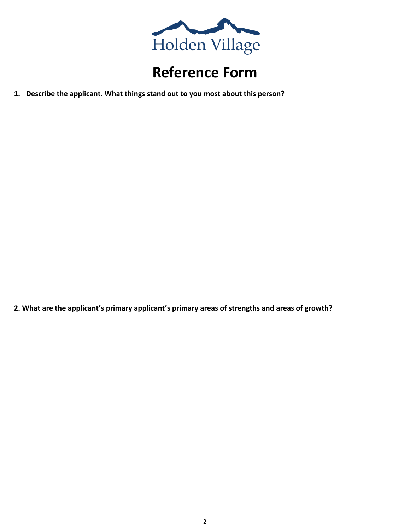

**1. Describe the applicant. What things stand out to you most about this person?**

**2. What are the applicant's primary applicant's primary areas of strengths and areas of growth?**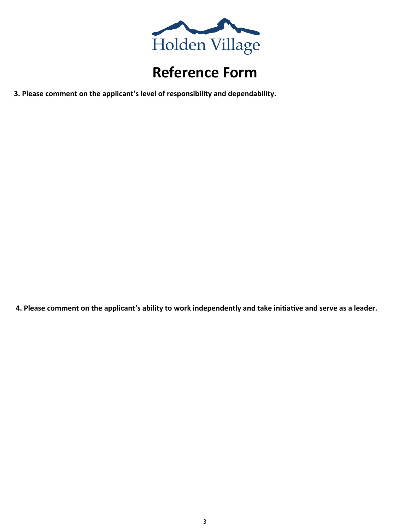

**3. Please comment on the applicant's level of responsibility and dependability.**

**4. Please comment on the applicant's ability to work independently and take initiative and serve as a leader.**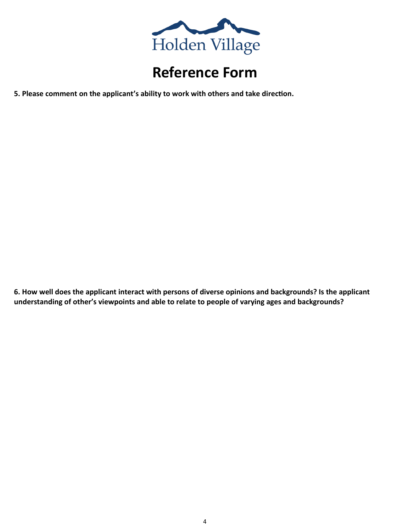

**5. Please comment on the applicant's ability to work with others and take direction.**

**6. How well does the applicant interact with persons of diverse opinions and backgrounds? Is the applicant understanding of other's viewpoints and able to relate to people of varying ages and backgrounds?**